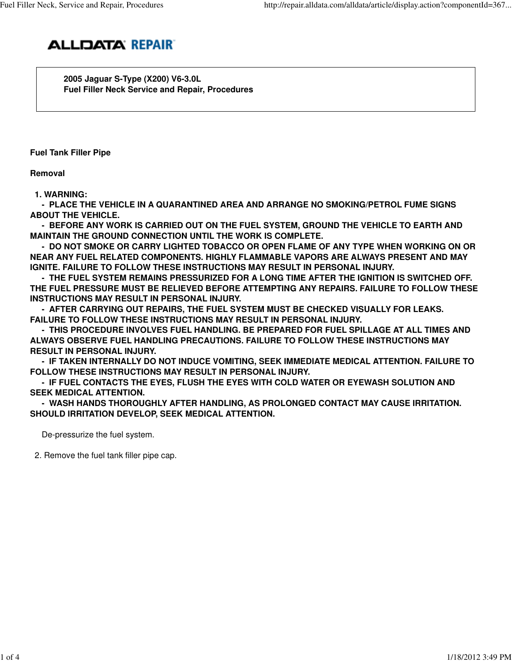

 **2005 Jaguar S-Type (X200) V6-3.0L Fuel Filler Neck Service and Repair, Procedures**

**Fuel Tank Filler Pipe**

**Removal**

 **1. WARNING:**

 **- PLACE THE VEHICLE IN A QUARANTINED AREA AND ARRANGE NO SMOKING/PETROL FUME SIGNS ABOUT THE VEHICLE.**

 **- BEFORE ANY WORK IS CARRIED OUT ON THE FUEL SYSTEM, GROUND THE VEHICLE TO EARTH AND MAINTAIN THE GROUND CONNECTION UNTIL THE WORK IS COMPLETE.**

 **- DO NOT SMOKE OR CARRY LIGHTED TOBACCO OR OPEN FLAME OF ANY TYPE WHEN WORKING ON OR NEAR ANY FUEL RELATED COMPONENTS. HIGHLY FLAMMABLE VAPORS ARE ALWAYS PRESENT AND MAY IGNITE. FAILURE TO FOLLOW THESE INSTRUCTIONS MAY RESULT IN PERSONAL INJURY.**

 **- THE FUEL SYSTEM REMAINS PRESSURIZED FOR A LONG TIME AFTER THE IGNITION IS SWITCHED OFF. THE FUEL PRESSURE MUST BE RELIEVED BEFORE ATTEMPTING ANY REPAIRS. FAILURE TO FOLLOW THESE INSTRUCTIONS MAY RESULT IN PERSONAL INJURY.**

 **- AFTER CARRYING OUT REPAIRS, THE FUEL SYSTEM MUST BE CHECKED VISUALLY FOR LEAKS. FAILURE TO FOLLOW THESE INSTRUCTIONS MAY RESULT IN PERSONAL INJURY.**

 **- THIS PROCEDURE INVOLVES FUEL HANDLING. BE PREPARED FOR FUEL SPILLAGE AT ALL TIMES AND ALWAYS OBSERVE FUEL HANDLING PRECAUTIONS. FAILURE TO FOLLOW THESE INSTRUCTIONS MAY RESULT IN PERSONAL INJURY.**

 **- IF TAKEN INTERNALLY DO NOT INDUCE VOMITING, SEEK IMMEDIATE MEDICAL ATTENTION. FAILURE TO FOLLOW THESE INSTRUCTIONS MAY RESULT IN PERSONAL INJURY.**

 **- IF FUEL CONTACTS THE EYES, FLUSH THE EYES WITH COLD WATER OR EYEWASH SOLUTION AND SEEK MEDICAL ATTENTION.**

 **- WASH HANDS THOROUGHLY AFTER HANDLING, AS PROLONGED CONTACT MAY CAUSE IRRITATION. SHOULD IRRITATION DEVELOP, SEEK MEDICAL ATTENTION.**

De-pressurize the fuel system.

2. Remove the fuel tank filler pipe cap.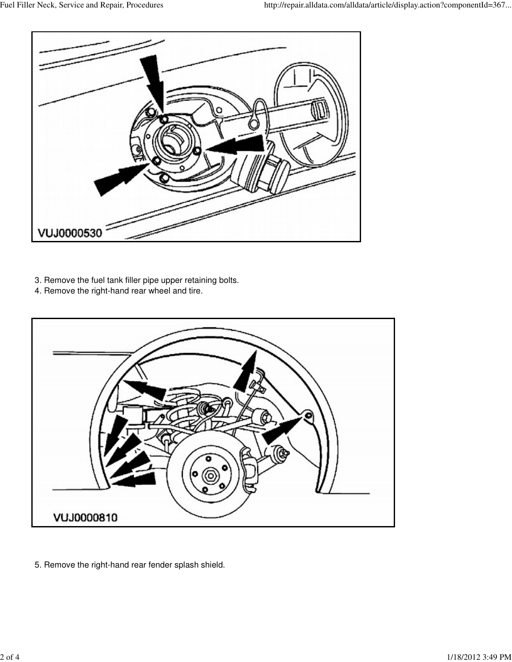

- 3. Remove the fuel tank filler pipe upper retaining bolts.
- 4. Remove the right-hand rear wheel and tire.



5. Remove the right-hand rear fender splash shield.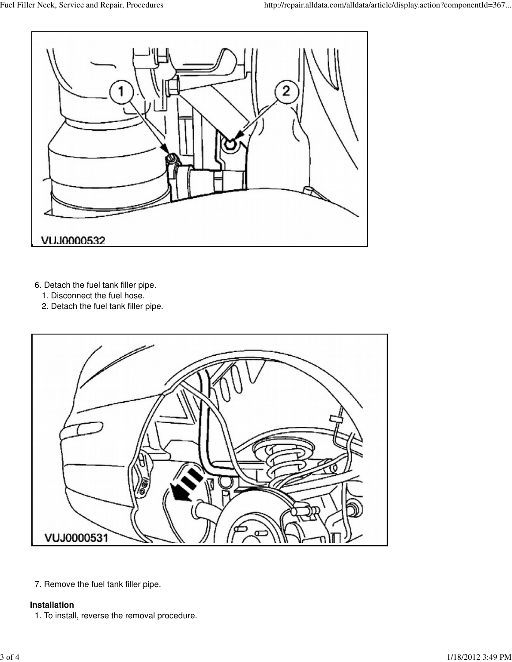

- 6. Detach the fuel tank filler pipe.
	- 1. Disconnect the fuel hose.
	- 2. Detach the fuel tank filler pipe.



7. Remove the fuel tank filler pipe.

## **Installation**

1. To install, reverse the removal procedure.